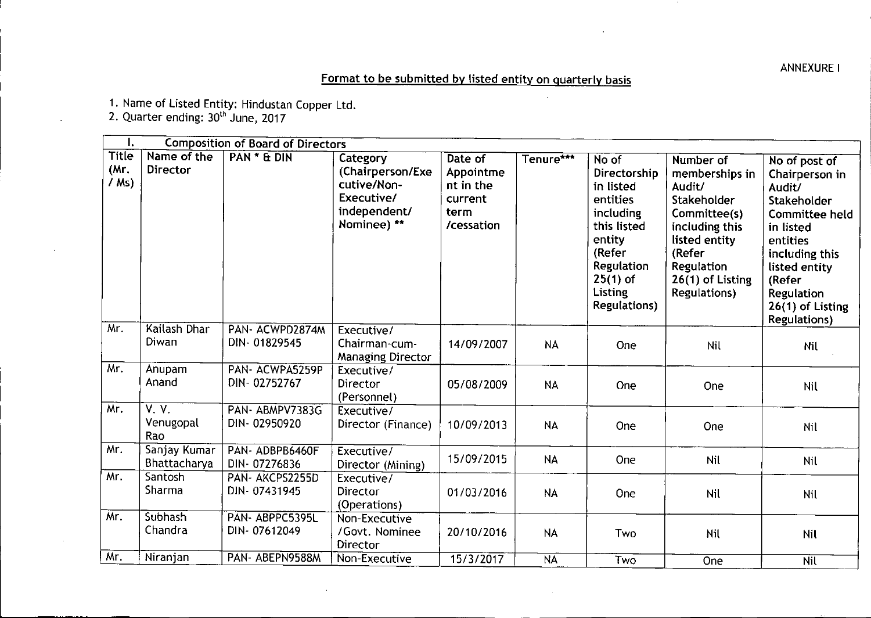ANNEXUREI

## Format to be submitted by listed entity on quarterly basis

1. Name of Listed Entity: Hindustan Copper Ltd.

2. Quarter ending: 30<sup>th</sup> June, 2017

,-,

| ι.                              |                              | <b>Composition of Board of Directors</b> |                                                                                          |                                                                    |           |                                                                                                                                                                      |                                                                                                                                                                            |                                                                                                                                                                                                           |
|---------------------------------|------------------------------|------------------------------------------|------------------------------------------------------------------------------------------|--------------------------------------------------------------------|-----------|----------------------------------------------------------------------------------------------------------------------------------------------------------------------|----------------------------------------------------------------------------------------------------------------------------------------------------------------------------|-----------------------------------------------------------------------------------------------------------------------------------------------------------------------------------------------------------|
| <b>Title</b><br>(Mr.<br>$/$ Ms) | Name of the<br>Director      | PAN * & DIN                              | Category<br>(Chairperson/Exe<br>cutive/Non-<br>Executive/<br>independent/<br>Nominee) ** | Date of<br>Appointme<br>nt in the<br>current<br>term<br>/cessation | Tenure*** | No of<br>Directorship<br>in listed<br>entities<br>including<br>this listed<br>entity<br>(Refer<br>Regulation<br>$25(1)$ of<br><b>Listing</b><br><b>Regulations</b> ) | Number of<br>memberships in<br>Audit/<br>Stakeholder<br>Committee(s)<br>including this<br>listed entity<br>(Refer<br>Regulation<br>26(1) of Listing<br><b>Regulations)</b> | No of post of<br>Chairperson in<br>Audit/<br>Stakeholder<br>Committee held<br>in listed<br>entities<br>including this<br>listed entity<br>(Refer<br>Regulation<br>26(1) of Listing<br><b>Regulations)</b> |
| Mr.                             | Kailash Dhar<br>Diwan        | PAN-ACWPD2874M<br>DIN-01829545           | Executive/<br>Chairman-cum-<br><b>Managing Director</b>                                  | 14/09/2007                                                         | <b>NA</b> | One                                                                                                                                                                  | Nil                                                                                                                                                                        | Nil                                                                                                                                                                                                       |
| Mr.                             | Anupam<br>Anand              | PAN- ACWPA5259P<br>DIN-02752767          | Executive/<br>Director<br>(Personnel)                                                    | 05/08/2009                                                         | <b>NA</b> | One                                                                                                                                                                  | One                                                                                                                                                                        | <b>Nil</b>                                                                                                                                                                                                |
| Mr.                             | V.V.<br>Venugopal<br>Rao     | PAN-ABMPV7383G<br>DIN-02950920           | Executive/<br>Director (Finance)                                                         | 10/09/2013                                                         | <b>NA</b> | One                                                                                                                                                                  | One                                                                                                                                                                        | Nil                                                                                                                                                                                                       |
| Mr.                             | Sanjay Kumar<br>Bhattacharya | PAN-ADBPB6460F<br>DIN-07276836           | Executive/<br>Director (Mining)                                                          | 15/09/2015                                                         | <b>NA</b> | One                                                                                                                                                                  | Nil                                                                                                                                                                        | <b>Nil</b>                                                                                                                                                                                                |
| Mr.                             | Santosh<br>Sharma            | PAN- AKCPS2255D<br>DIN-07431945          | Executive/<br>Director<br>(Operations)                                                   | 01/03/2016                                                         | <b>NA</b> | One                                                                                                                                                                  | Nil                                                                                                                                                                        | Nil                                                                                                                                                                                                       |
| Mr.                             | <b>Subhash</b><br>Chandra    | PAN- ABPPC5395L<br>DIN-07612049          | Non-Executive<br>/Govt. Nominee<br>Director                                              | 20/10/2016                                                         | <b>NA</b> | Two                                                                                                                                                                  | Nil                                                                                                                                                                        | Nil                                                                                                                                                                                                       |
| Mr.                             | Niranjan                     | PAN- ABEPN9588M                          | Non-Executive                                                                            | 15/3/2017                                                          | <b>NA</b> | Two                                                                                                                                                                  | One                                                                                                                                                                        | <b>Nil</b>                                                                                                                                                                                                |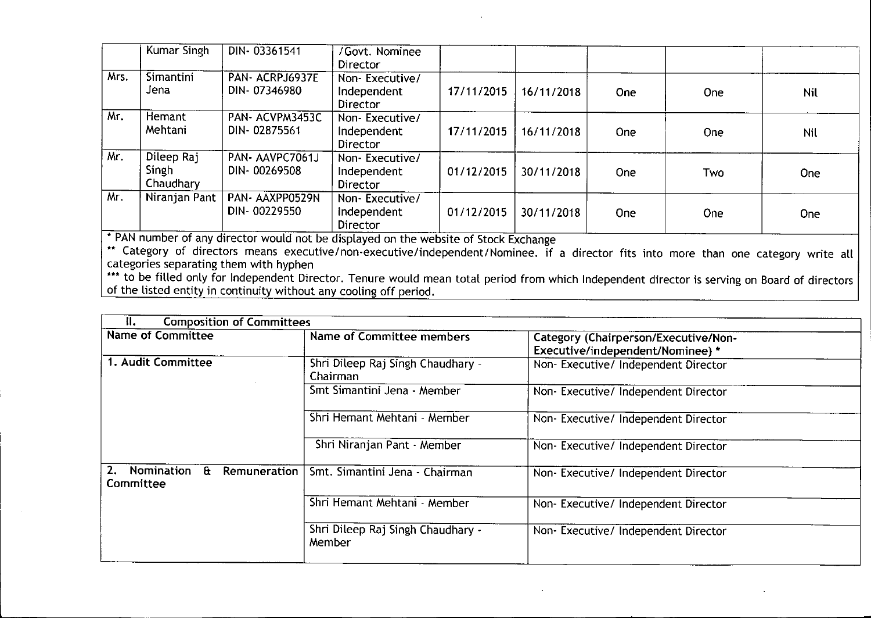|      | Kumar Singh                             | DIN-03361541                   | /Govt. Nominee<br>Director                       |            |            |            |            |     |
|------|-----------------------------------------|--------------------------------|--------------------------------------------------|------------|------------|------------|------------|-----|
| Mrs. | <b>Simantini</b><br>Jena                | PAN-ACRPJ6937E<br>DIN-07346980 | Non-Executive/<br>Independent<br><b>Director</b> | 17/11/2015 | 16/11/2018 | <b>One</b> | <b>One</b> | Nil |
| Mr.  | Hemant<br>Mehtani                       | PAN-ACVPM3453C<br>DIN-02875561 | Non-Executive/<br>Independent<br>Director        | 17/11/2015 | 16/11/2018 | <b>One</b> | One        | Nil |
| Mr.  | Dileep Raj<br><b>Singh</b><br>Chaudhary | PAN-AAVPC7061J<br>DIN-00269508 | Non-Executive/<br>Independent<br><b>Director</b> | 01/12/2015 | 30/11/2018 | <b>One</b> | Two        | One |
| Mr.  | Niranjan Pant                           | PAN-AAXPP0529N<br>DIN-00229550 | Non-Executive/<br>Independent<br>Director        | 01/12/2015 | 30/11/2018 | One        | <b>One</b> | One |

• PAN number of any director would not be displayed on the website of Stock Exchange

\*\* Category of directors means executive/non-executive/independent/Nominee. if a director fits into more than one category write all categories separating them with hyphen

\*\*\* to be filled only for Independent Director. Tenure would mean total period from which Independent director is serving on Board of director of the listed entity in continuity without any cooling off period.

| Ⅱ.                                                                   | <b>Composition of Committees</b>              |                                                                          |  |  |  |
|----------------------------------------------------------------------|-----------------------------------------------|--------------------------------------------------------------------------|--|--|--|
| <b>Name of Committee</b>                                             | Name of Committee members                     | Category (Chairperson/Executive/Non-<br>Executive/independent/Nominee) * |  |  |  |
| 1. Audit Committee                                                   | Shri Dileep Raj Singh Chaudhary -<br>Chairman | Non-Executive/ Independent Director                                      |  |  |  |
|                                                                      | Smt Simantini Jena - Member                   | Non-Executive/ Independent Director                                      |  |  |  |
|                                                                      | Shri Hemant Mehtani - Member                  | Non-Executive/ Independent Director                                      |  |  |  |
|                                                                      | Shri Niranjan Pant - Member                   | Non-Executive/ Independent Director                                      |  |  |  |
| <b>Nomination</b><br>2.<br>$\mathbf{a}$<br>Remuneration<br>Committee | Smt. Simantini Jena - Chairman                | Non-Executive/ Independent Director                                      |  |  |  |
|                                                                      | Shri Hemant Mehtani - Member                  | Non-Executive/Independent Director                                       |  |  |  |
|                                                                      | Shri Dileep Raj Singh Chaudhary -<br>Member   | Non-Executive/ Independent Director                                      |  |  |  |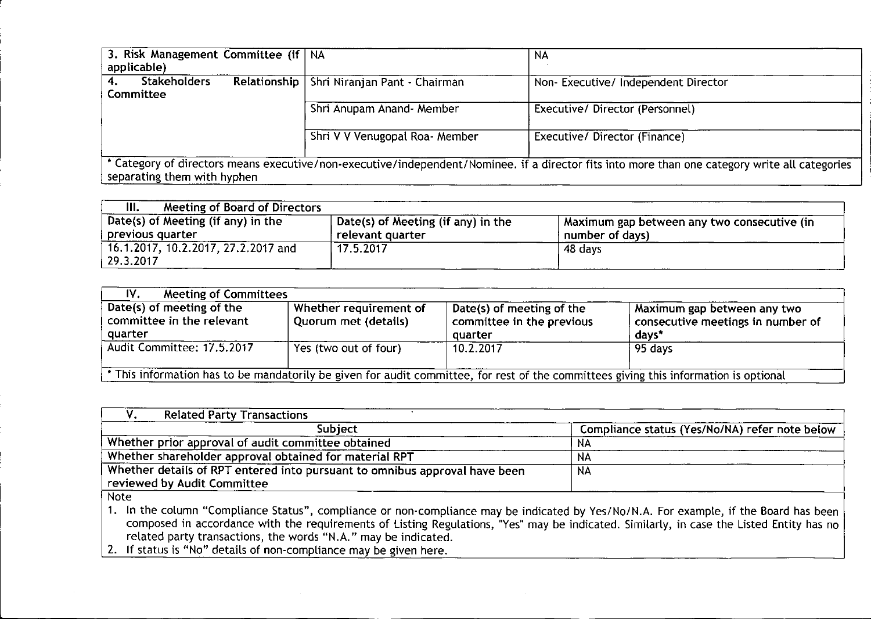| 3. Risk Management Committee (if   NA<br>applicable) |                                              | NA                                                                                                                                             |  |
|------------------------------------------------------|----------------------------------------------|------------------------------------------------------------------------------------------------------------------------------------------------|--|
|                                                      |                                              |                                                                                                                                                |  |
| <b>Stakeholders</b>                                  | Relationship   Shri Niranjan Pant - Chairman | Non-Executive/ Independent Director                                                                                                            |  |
| <b>Committee</b>                                     |                                              |                                                                                                                                                |  |
|                                                      | Shri Anupam Anand- Member                    | Executive/Director (Personnel)                                                                                                                 |  |
|                                                      |                                              |                                                                                                                                                |  |
|                                                      | Shri V V Venugopal Roa- Member               | Executive/ Director (Finance)                                                                                                                  |  |
|                                                      |                                              |                                                                                                                                                |  |
|                                                      |                                              | * Category of directors means executive/non-executive/independent/Nominee. if a director fits into more than one category write all categories |  |
| separating them with hyphen                          |                                              |                                                                                                                                                |  |

| Ш.<br><b>Meeting of Board of Directors</b>               |                                                        |                                                                  |
|----------------------------------------------------------|--------------------------------------------------------|------------------------------------------------------------------|
| Date(s) of Meeting (if any) in the<br>  previous quarter | Date(s) of Meeting (if any) in the<br>relevant quarter | A Maximum gap between any two consecutive (in<br>number of days) |
| 16.1.2017, 10.2.2017, 27.2.2017 and<br>  29.3.2017       | 17.5.2017                                              | 48 days                                                          |

| IV.<br><b>Meeting of Committees</b>                                                                                                   |                                                |                                                                   |                                                                           |  |
|---------------------------------------------------------------------------------------------------------------------------------------|------------------------------------------------|-------------------------------------------------------------------|---------------------------------------------------------------------------|--|
| Date(s) of meeting of the<br>committee in the relevant<br>quarter                                                                     | Whether requirement of<br>Quorum met (details) | Date(s) of meeting of the<br>committee in the previous<br>quarter | Maximum gap between any two<br>consecutive meetings in number of<br>days* |  |
| Audit Committee: 17.5.2017                                                                                                            | Yes (two out of four)                          | 10.2.2017                                                         | 95 days                                                                   |  |
| * This information has to be mandatorily be given for audit committee, for rest of the committees giving this information is optional |                                                |                                                                   |                                                                           |  |

| <b>Related Party Transactions</b>                                          |                                                |
|----------------------------------------------------------------------------|------------------------------------------------|
| Subject                                                                    | Compliance status (Yes/No/NA) refer note below |
| Whether prior approval of audit committee obtained                         | .NA                                            |
| Whether shareholder approval obtained for material RPT                     | NA                                             |
| Whether details of RPT entered into pursuant to omnibus approval have been | <b>NA</b>                                      |
| reviewed by Audit Committee                                                |                                                |
| $h \sim$                                                                   |                                                |

Note

1. In the column "Compliance Status", compliance or non-compliance may be indicated by Yes/No/N.A. For example, if the Board has been composed in accordance with the requirements of Listing Regulations, "Yes" may be indicated. Similarly, in case the Listed Entity has no related party transactions, the words "N.A." may be indicated

2. If status is "No" details of non-compliance may be given here.